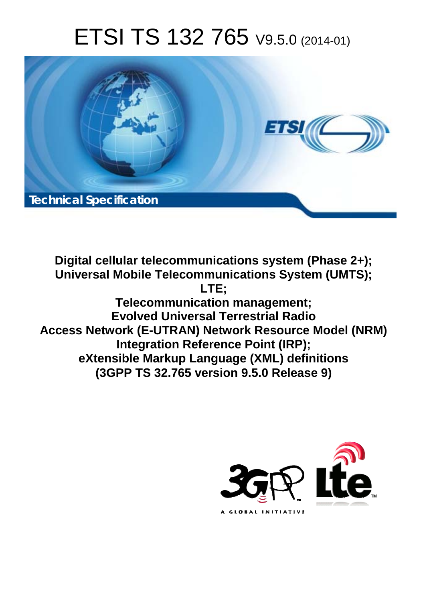# ETSI TS 132 765 V9.5.0 (2014-01)



**Digital cellular telecommunications system (Phase 2+); Universal Mobile Telecommunications System (UMTS); LTE; Telecommunication management; Evolved Universal Terrestrial Radio Access Network (E-UTRAN) Network Resource Model (NRM) Integration Reference Point (IRP); eXtensible Markup Language (XML) definitions (3GPP TS 32.765 version 9.5.0 Release 9)** 

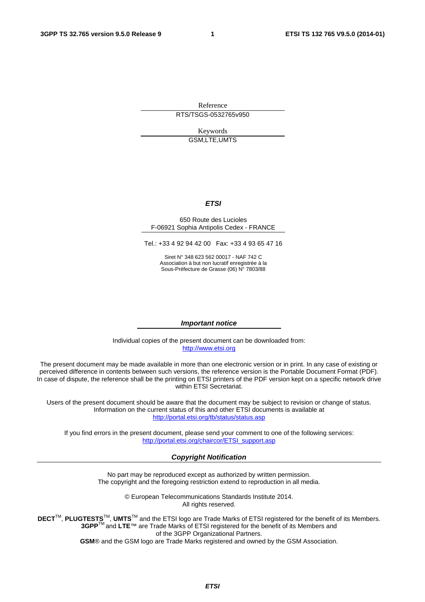Reference RTS/TSGS-0532765v950

> Keywords GSM,LTE,UMTS

#### *ETSI*

#### 650 Route des Lucioles F-06921 Sophia Antipolis Cedex - FRANCE

Tel.: +33 4 92 94 42 00 Fax: +33 4 93 65 47 16

Siret N° 348 623 562 00017 - NAF 742 C Association à but non lucratif enregistrée à la Sous-Préfecture de Grasse (06) N° 7803/88

#### *Important notice*

Individual copies of the present document can be downloaded from: [http://www.etsi.org](http://www.etsi.org/)

The present document may be made available in more than one electronic version or in print. In any case of existing or perceived difference in contents between such versions, the reference version is the Portable Document Format (PDF). In case of dispute, the reference shall be the printing on ETSI printers of the PDF version kept on a specific network drive within ETSI Secretariat.

Users of the present document should be aware that the document may be subject to revision or change of status. Information on the current status of this and other ETSI documents is available at <http://portal.etsi.org/tb/status/status.asp>

If you find errors in the present document, please send your comment to one of the following services: [http://portal.etsi.org/chaircor/ETSI\\_support.asp](http://portal.etsi.org/chaircor/ETSI_support.asp)

#### *Copyright Notification*

No part may be reproduced except as authorized by written permission. The copyright and the foregoing restriction extend to reproduction in all media.

> © European Telecommunications Standards Institute 2014. All rights reserved.

**DECT**TM, **PLUGTESTS**TM, **UMTS**TM and the ETSI logo are Trade Marks of ETSI registered for the benefit of its Members. **3GPP**TM and **LTE**™ are Trade Marks of ETSI registered for the benefit of its Members and of the 3GPP Organizational Partners.

**GSM**® and the GSM logo are Trade Marks registered and owned by the GSM Association.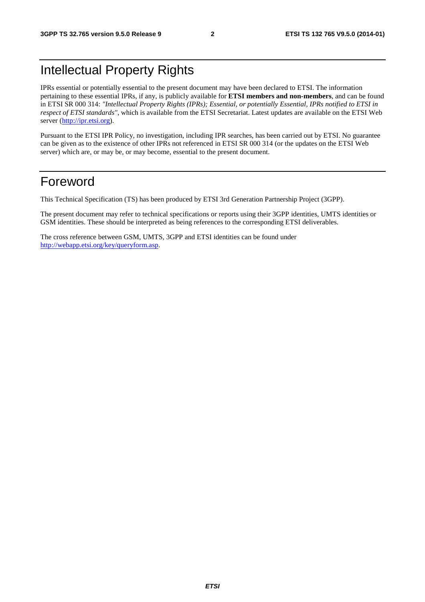### Intellectual Property Rights

IPRs essential or potentially essential to the present document may have been declared to ETSI. The information pertaining to these essential IPRs, if any, is publicly available for **ETSI members and non-members**, and can be found in ETSI SR 000 314: *"Intellectual Property Rights (IPRs); Essential, or potentially Essential, IPRs notified to ETSI in respect of ETSI standards"*, which is available from the ETSI Secretariat. Latest updates are available on the ETSI Web server [\(http://ipr.etsi.org](http://webapp.etsi.org/IPR/home.asp)).

Pursuant to the ETSI IPR Policy, no investigation, including IPR searches, has been carried out by ETSI. No guarantee can be given as to the existence of other IPRs not referenced in ETSI SR 000 314 (or the updates on the ETSI Web server) which are, or may be, or may become, essential to the present document.

### Foreword

This Technical Specification (TS) has been produced by ETSI 3rd Generation Partnership Project (3GPP).

The present document may refer to technical specifications or reports using their 3GPP identities, UMTS identities or GSM identities. These should be interpreted as being references to the corresponding ETSI deliverables.

The cross reference between GSM, UMTS, 3GPP and ETSI identities can be found under <http://webapp.etsi.org/key/queryform.asp>.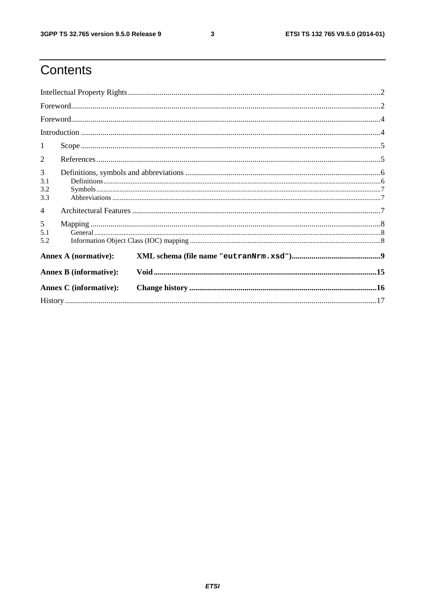$\mathbf{3}$ 

### Contents

| $\mathbf{1}$           |                               |  |  |  |
|------------------------|-------------------------------|--|--|--|
| 2                      |                               |  |  |  |
| 3<br>3.1<br>3.2<br>3.3 |                               |  |  |  |
| $\overline{4}$         |                               |  |  |  |
| 5<br>5.1<br>5.2        |                               |  |  |  |
|                        | <b>Annex A (normative):</b>   |  |  |  |
|                        | <b>Annex B</b> (informative): |  |  |  |
|                        | <b>Annex C</b> (informative): |  |  |  |
|                        |                               |  |  |  |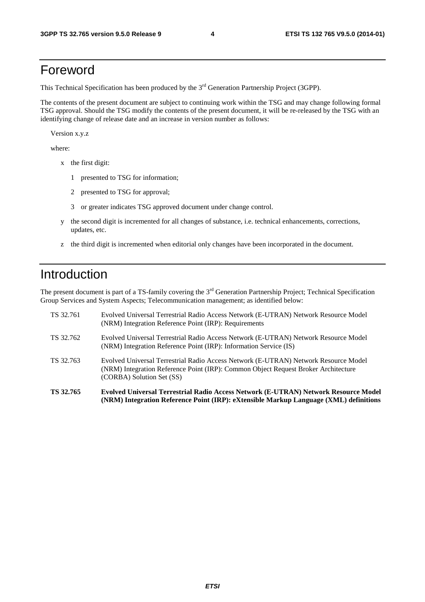### Foreword

This Technical Specification has been produced by the 3<sup>rd</sup> Generation Partnership Project (3GPP).

The contents of the present document are subject to continuing work within the TSG and may change following formal TSG approval. Should the TSG modify the contents of the present document, it will be re-released by the TSG with an identifying change of release date and an increase in version number as follows:

Version x.y.z

where:

- x the first digit:
	- 1 presented to TSG for information;
	- 2 presented to TSG for approval;
	- 3 or greater indicates TSG approved document under change control.
- y the second digit is incremented for all changes of substance, i.e. technical enhancements, corrections, updates, etc.
- z the third digit is incremented when editorial only changes have been incorporated in the document.

### Introduction

The present document is part of a TS-family covering the 3<sup>rd</sup> Generation Partnership Project; Technical Specification Group Services and System Aspects; Telecommunication management; as identified below:

| TS 32.765 | Evolved Universal Terrestrial Radio Access Network (E-UTRAN) Network Resource Model<br>(NRM) Integration Reference Point (IRP): eXtensible Markup Language (XML) definitions                           |
|-----------|--------------------------------------------------------------------------------------------------------------------------------------------------------------------------------------------------------|
| TS 32.763 | Evolved Universal Terrestrial Radio Access Network (E-UTRAN) Network Resource Model<br>(NRM) Integration Reference Point (IRP): Common Object Request Broker Architecture<br>(CORBA) Solution Set (SS) |
| TS 32.762 | Evolved Universal Terrestrial Radio Access Network (E-UTRAN) Network Resource Model<br>(NRM) Integration Reference Point (IRP): Information Service (IS)                                               |
| TS 32.761 | Evolved Universal Terrestrial Radio Access Network (E-UTRAN) Network Resource Model<br>(NRM) Integration Reference Point (IRP): Requirements                                                           |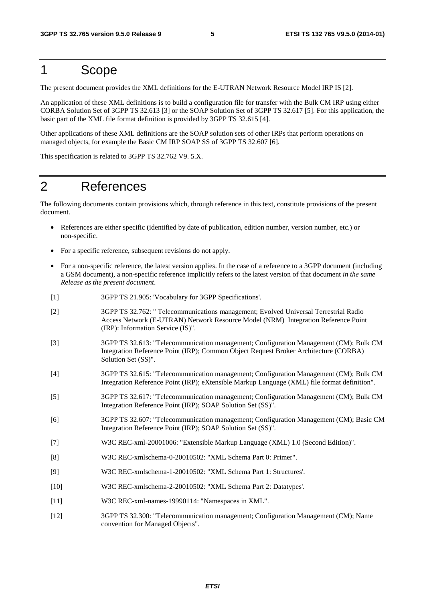### 1 Scope

The present document provides the XML definitions for the E-UTRAN Network Resource Model IRP IS [2].

An application of these XML definitions is to build a configuration file for transfer with the Bulk CM IRP using either CORBA Solution Set of 3GPP TS 32.613 [3] or the SOAP Solution Set of 3GPP TS 32.617 [5]. For this application, the basic part of the XML file format definition is provided by 3GPP TS 32.615 [4].

Other applications of these XML definitions are the SOAP solution sets of other IRPs that perform operations on managed objects, for example the Basic CM IRP SOAP SS of 3GPP TS 32.607 [6].

This specification is related to 3GPP TS 32.762 V9. 5.X.

### 2 References

The following documents contain provisions which, through reference in this text, constitute provisions of the present document.

- References are either specific (identified by date of publication, edition number, version number, etc.) or non-specific.
- For a specific reference, subsequent revisions do not apply.
- For a non-specific reference, the latest version applies. In the case of a reference to a 3GPP document (including a GSM document), a non-specific reference implicitly refers to the latest version of that document *in the same Release as the present document*.
- [1] 3GPP TS 21.905: 'Vocabulary for 3GPP Specifications'.
- [2] 3GPP TS 32.762: " Telecommunications management; Evolved Universal Terrestrial Radio Access Network (E-UTRAN) Network Resource Model (NRM) Integration Reference Point (IRP): Information Service (IS)".
- [3] 3GPP TS 32.613: "Telecommunication management; Configuration Management (CM); Bulk CM Integration Reference Point (IRP); Common Object Request Broker Architecture (CORBA) Solution Set (SS)".
- [4] 3GPP TS 32.615: "Telecommunication management; Configuration Management (CM); Bulk CM Integration Reference Point (IRP); eXtensible Markup Language (XML) file format definition".
- [5] 3GPP TS 32.617: "Telecommunication management; Configuration Management (CM); Bulk CM Integration Reference Point (IRP); SOAP Solution Set (SS)".
- [6] 3GPP TS 32.607: "Telecommunication management; Configuration Management (CM); Basic CM Integration Reference Point (IRP); SOAP Solution Set (SS)".
- [7] W3C REC-xml-20001006: "Extensible Markup Language (XML) 1.0 (Second Edition)".
- [8] W3C REC-xmlschema-0-20010502: "XML Schema Part 0: Primer".
- [9] W3C REC-xmlschema-1-20010502: "XML Schema Part 1: Structures'.
- [10] W3C REC-xmlschema-2-20010502: "XML Schema Part 2: Datatypes'.
- [11] W3C REC-xml-names-19990114: "Namespaces in XML".
- [12] 3GPP TS 32.300: "Telecommunication management; Configuration Management (CM); Name convention for Managed Objects".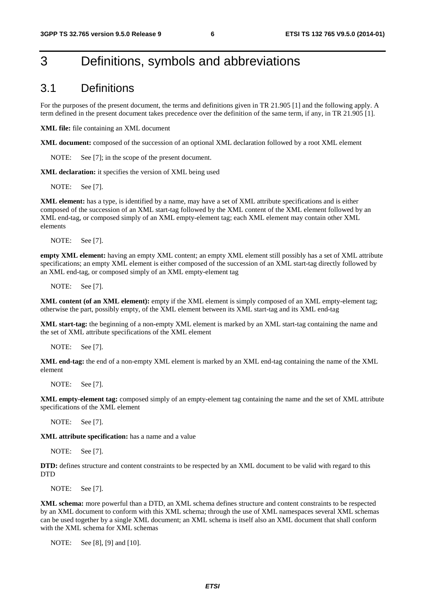### 3 Definitions, symbols and abbreviations

#### 3.1 Definitions

For the purposes of the present document, the terms and definitions given in TR 21.905 [1] and the following apply. A term defined in the present document takes precedence over the definition of the same term, if any, in TR 21.905 [1].

**XML file:** file containing an XML document

**XML document:** composed of the succession of an optional XML declaration followed by a root XML element

NOTE: See [7]; in the scope of the present document.

**XML declaration:** it specifies the version of XML being used

NOTE: See [7].

**XML element:** has a type, is identified by a name, may have a set of XML attribute specifications and is either composed of the succession of an XML start-tag followed by the XML content of the XML element followed by an XML end-tag, or composed simply of an XML empty-element tag; each XML element may contain other XML elements

NOTE: See [7].

**empty XML element:** having an empty XML content; an empty XML element still possibly has a set of XML attribute specifications; an empty XML element is either composed of the succession of an XML start-tag directly followed by an XML end-tag, or composed simply of an XML empty-element tag

NOTE: See [7].

**XML content (of an XML element):** empty if the XML element is simply composed of an XML empty-element tag; otherwise the part, possibly empty, of the XML element between its XML start-tag and its XML end-tag

**XML start-tag:** the beginning of a non-empty XML element is marked by an XML start-tag containing the name and the set of XML attribute specifications of the XML element

NOTE: See [7].

**XML end-tag:** the end of a non-empty XML element is marked by an XML end-tag containing the name of the XML element

NOTE: See [7].

**XML empty-element tag:** composed simply of an empty-element tag containing the name and the set of XML attribute specifications of the XML element

NOTE: See [7].

**XML attribute specification:** has a name and a value

NOTE: See [7].

**DTD:** defines structure and content constraints to be respected by an XML document to be valid with regard to this **DTD** 

NOTE: See [7].

**XML schema:** more powerful than a DTD, an XML schema defines structure and content constraints to be respected by an XML document to conform with this XML schema; through the use of XML namespaces several XML schemas can be used together by a single XML document; an XML schema is itself also an XML document that shall conform with the XML schema for XML schemas

NOTE: See [8], [9] and [10].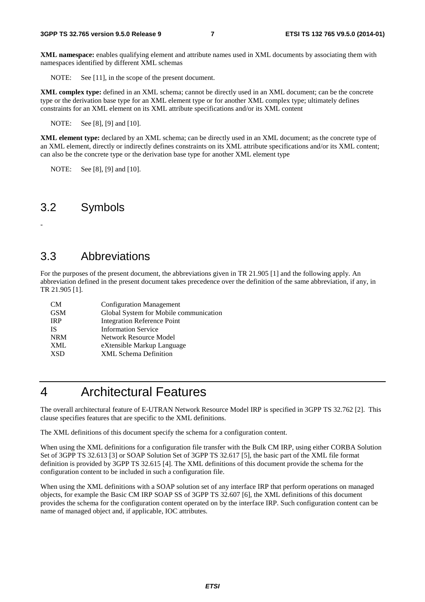**XML namespace:** enables qualifying element and attribute names used in XML documents by associating them with namespaces identified by different XML schemas

NOTE: See [11], in the scope of the present document.

**XML complex type:** defined in an XML schema; cannot be directly used in an XML document; can be the concrete type or the derivation base type for an XML element type or for another XML complex type; ultimately defines constraints for an XML element on its XML attribute specifications and/or its XML content

NOTE: See [8], [9] and [10].

**XML element type:** declared by an XML schema; can be directly used in an XML document; as the concrete type of an XML element, directly or indirectly defines constraints on its XML attribute specifications and/or its XML content; can also be the concrete type or the derivation base type for another XML element type

NOTE: See [8], [9] and [10].

#### 3.2 Symbols

-

### 3.3 Abbreviations

For the purposes of the present document, the abbreviations given in TR 21.905 [1] and the following apply. An abbreviation defined in the present document takes precedence over the definition of the same abbreviation, if any, in TR 21.905 [1].

| <b>CM</b>  | <b>Configuration Management</b>        |
|------------|----------------------------------------|
| <b>GSM</b> | Global System for Mobile communication |
| <b>IRP</b> | <b>Integration Reference Point</b>     |
| IS.        | <b>Information Service</b>             |
| <b>NRM</b> | Network Resource Model                 |
| XML        | eXtensible Markup Language             |
| <b>XSD</b> | <b>XML</b> Schema Definition           |

### 4 Architectural Features

The overall architectural feature of E-UTRAN Network Resource Model IRP is specified in 3GPP TS 32.762 [2]. This clause specifies features that are specific to the XML definitions.

The XML definitions of this document specify the schema for a configuration content.

When using the XML definitions for a configuration file transfer with the Bulk CM IRP, using either CORBA Solution Set of 3GPP TS 32.613 [3] or SOAP Solution Set of 3GPP TS 32.617 [5], the basic part of the XML file format definition is provided by 3GPP TS 32.615 [4]. The XML definitions of this document provide the schema for the configuration content to be included in such a configuration file.

When using the XML definitions with a SOAP solution set of any interface IRP that perform operations on managed objects, for example the Basic CM IRP SOAP SS of 3GPP TS 32.607 [6], the XML definitions of this document provides the schema for the configuration content operated on by the interface IRP. Such configuration content can be name of managed object and, if applicable, IOC attributes.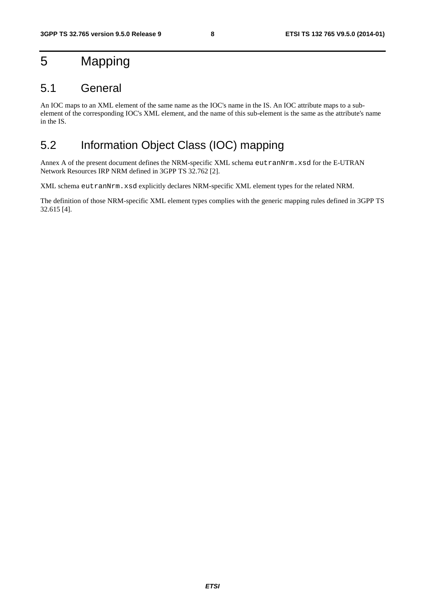### 5 Mapping

### 5.1 General

An IOC maps to an XML element of the same name as the IOC's name in the IS. An IOC attribute maps to a subelement of the corresponding IOC's XML element, and the name of this sub-element is the same as the attribute's name in the IS.

### 5.2 Information Object Class (IOC) mapping

Annex A of the present document defines the NRM-specific XML schema eutranNrm.xsd for the E-UTRAN Network Resources IRP NRM defined in 3GPP TS 32.762 [2].

XML schema eutranNrm.xsd explicitly declares NRM-specific XML element types for the related NRM.

The definition of those NRM-specific XML element types complies with the generic mapping rules defined in 3GPP TS 32.615 [4].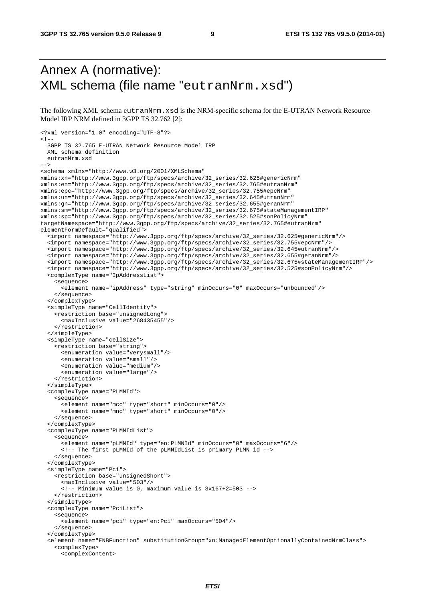### Annex A (normative): XML schema (file name "eutranNrm.xsd")

The following XML schema eutranNrm.xsd is the NRM-specific schema for the E-UTRAN Network Resource Model IRP NRM defined in 3GPP TS 32.762 [2]:

```
<?xml version="1.0" encoding="UTF-8"?> 
< ! - - 3GPP TS 32.765 E-UTRAN Network Resource Model IRP 
   XML schema definition 
  eutranNrm.xsd 
--> 
<schema xmlns="http://www.w3.org/2001/XMLSchema" 
xmlns:xn="http://www.3gpp.org/ftp/specs/archive/32_series/32.625#genericNrm" 
xmlns:en="http://www.3gpp.org/ftp/specs/archive/32_series/32.765#eutranNrm" 
xmlns:epc="http://www.3gpp.org/ftp/specs/archive/32_series/32.755#epcNrm" 
xmlns:un="http://www.3gpp.org/ftp/specs/archive/32_series/32.645#utranNrm" 
xmlns:gn="http://www.3gpp.org/ftp/specs/archive/32_series/32.655#geranNrm" 
xmlns:sm="http://www.3gpp.org/ftp/specs/archive/32_series/32.675#stateManagementIRP" 
xmlns:sp="http://www.3gpp.org/ftp/specs/archive/32_series/32.525#sonPolicyNrm" 
targetNamespace="http://www.3gpp.org/ftp/specs/archive/32_series/32.765#eutranNrm" 
elementFormDefault="qualified"> 
   <import namespace="http://www.3gpp.org/ftp/specs/archive/32_series/32.625#genericNrm"/> 
   <import namespace="http://www.3gpp.org/ftp/specs/archive/32_series/32.755#epcNrm"/> 
   <import namespace="http://www.3gpp.org/ftp/specs/archive/32_series/32.645#utranNrm"/> 
   <import namespace="http://www.3gpp.org/ftp/specs/archive/32_series/32.655#geranNrm"/> 
   <import namespace="http://www.3gpp.org/ftp/specs/archive/32_series/32.675#stateManagementIRP"/> 
   <import namespace="http://www.3gpp.org/ftp/specs/archive/32_series/32.525#sonPolicyNrm"/> 
   <complexType name="IpAddressList"> 
     <sequence> 
       <element name="ipAddress" type="string" minOccurs="0" maxOccurs="unbounded"/> 
     </sequence> 
   </complexType> 
   <simpleType name="CellIdentity"> 
     <restriction base="unsignedLong"> 
       <maxInclusive value="268435455"/> 
     </restriction> 
   </simpleType> 
   <simpleType name="cellSize"> 
     <restriction base="string"> 
       <enumeration value="verysmall"/> 
       <enumeration value="small"/> 
       <enumeration value="medium"/> 
       <enumeration value="large"/> 
     </restriction> 
   </simpleType> 
   <complexType name="PLMNId"> 
     <sequence> 
       <element name="mcc" type="short" minOccurs="0"/> 
       <element name="mnc" type="short" minOccurs="0"/> 
     </sequence> 
   </complexType> 
   <complexType name="PLMNIdList"> 
     <sequence> 
       <element name="pLMNId" type="en:PLMNId" minOccurs="0" maxOccurs="6"/> 
       <!-- The first pLMNId of the pLMNIdList is primary PLMN id --> 
     </sequence> 
   </complexType> 
   <simpleType name="Pci"> 
     <restriction base="unsignedShort"> 
       <maxInclusive value="503"/> 
       <!-- Minimum value is 0, maximum value is 3x167+2=503 --> 
     </restriction> 
   </simpleType> 
   <complexType name="PciList"> 
     <sequence> 
       <element name="pci" type="en:Pci" maxOccurs="504"/> 
     </sequence> 
   </complexType> 
   <element name="ENBFunction" substitutionGroup="xn:ManagedElementOptionallyContainedNrmClass"> 
     <complexType> 
       <complexContent>
```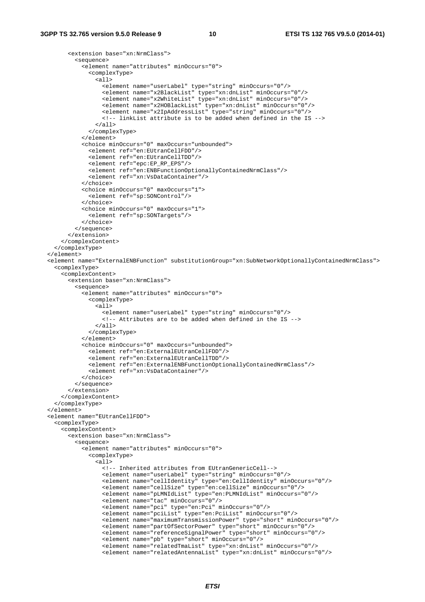<extension base="xn:NrmClass">

```
 <sequence> 
             <element name="attributes" minOccurs="0"> 
               <complexType> 
                 <all> 
                   <element name="userLabel" type="string" minOccurs="0"/> 
 <element name="x2BlackList" type="xn:dnList" minOccurs="0"/> 
 <element name="x2WhiteList" type="xn:dnList" minOccurs="0"/> 
                   <element name="x2HOBlackList" type="xn:dnList" minOccurs="0"/> 
                   <element name="x2IpAddressList" type="string" minOccurs="0"/> 
                   <!-- linkList attribute is to be added when defined in the IS --> 
                \langle/all\rangle </complexType> 
             </element> 
             <choice minOccurs="0" maxOccurs="unbounded"> 
               <element ref="en:EUtranCellFDD"/> 
               <element ref="en:EUtranCellTDD"/> 
               <element ref="epc:EP_RP_EPS"/> 
               <element ref="en:ENBFunctionOptionallyContainedNrmClass"/> 
               <element ref="xn:VsDataContainer"/> 
             </choice> 
             <choice minOccurs="0" maxOccurs="1"> 
               <element ref="sp:SONControl"/> 
             </choice> 
             <choice minOccurs="0" maxOccurs="1"> 
               <element ref="sp:SONTargets"/> 
             </choice> 
           </sequence> 
         </extension> 
       </complexContent> 
    </complexType> 
   </element> 
   <element name="ExternalENBFunction" substitutionGroup="xn:SubNetworkOptionallyContainedNrmClass"> 
    <complexType> 
       <complexContent> 
         <extension base="xn:NrmClass"> 
           <sequence> 
             <element name="attributes" minOccurs="0"> 
               <complexType> 
                <sub>all</sub></sub>
                   <element name="userLabel" type="string" minOccurs="0"/> 
                   <!-- Attributes are to be added when defined in the IS --> 
                \langleall\rangle </complexType> 
             </element> 
             <choice minOccurs="0" maxOccurs="unbounded"> 
               <element ref="en:ExternalEUtranCellFDD"/> 
               <element ref="en:ExternalEUtranCellTDD"/> 
               <element ref="en:ExternalENBFunctionOptionallyContainedNrmClass"/> 
               <element ref="xn:VsDataContainer"/> 
             </choice> 
           </sequence> 
         </extension> 
       </complexContent> 
     </complexType> 
   </element> 
  <element name="EUtranCellFDD"> 
    <complexType> 
       <complexContent> 
         <extension base="xn:NrmClass"> 
           <sequence> 
             <element name="attributes" minOccurs="0"> 
               <complexType> 
                 <all> 
                   <!-- Inherited attributes from EUtranGenericCell--> 
                   <element name="userLabel" type="string" minOccurs="0"/> 
                   <element name="cellIdentity" type="en:CellIdentity" minOccurs="0"/> 
                   <element name="cellSize" type="en:cellSize" minOccurs="0"/> 
                   <element name="pLMNIdList" type="en:PLMNIdList" minOccurs="0"/> 
                   <element name="tac" minOccurs="0"/> 
                   <element name="pci" type="en:Pci" minOccurs="0"/> 
 <element name="pciList" type="en:PciList" minOccurs="0"/> 
 <element name="maximumTransmissionPower" type="short" minOccurs="0"/> 
                   <element name="partOfSectorPower" type="short" minOccurs="0"/> 
                   <element name="referenceSignalPower" type="short" minOccurs="0"/> 
                   <element name="pb" type="short" minOccurs="0"/> 
                   <element name="relatedTmaList" type="xn:dnList" minOccurs="0"/> 
                   <element name="relatedAntennaList" type="xn:dnList" minOccurs="0"/>
```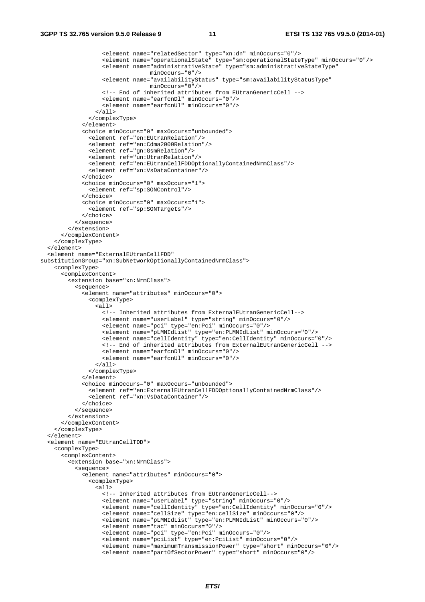```
 <element name="relatedSector" type="xn:dn" minOccurs="0"/> 
                   <element name="operationalState" type="sm:operationalStateType" minOccurs="0"/> 
                  <element name="administrativeState" type="sm:administrativeStateType"
                                 minOccurs="0"/> 
                   <element name="availabilityStatus" type="sm:availabilityStatusType" 
                                  minOccurs="0"/> 
                   <!-- End of inherited attributes from EUtranGenericCell --> 
                   <element name="earfcnDl" minOccurs="0"/> 
                   <element name="earfcnUl" minOccurs="0"/> 
                 \langleall\rangle </complexType> 
             </element> 
             <choice minOccurs="0" maxOccurs="unbounded"> 
               <element ref="en:EUtranRelation"/> 
               <element ref="en:Cdma2000Relation"/> 
               <element ref="gn:GsmRelation"/> 
               <element ref="un:UtranRelation"/> 
               <element ref="en:EUtranCellFDDOptionallyContainedNrmClass"/> 
               <element ref="xn:VsDataContainer"/> 
              </choice> 
             <choice minOccurs="0" maxOccurs="1"> 
               <element ref="sp:SONControl"/> 
              </choice> 
             <choice minOccurs="0" maxOccurs="1"> 
               <element ref="sp:SONTargets"/> 
             </choice> 
           </sequence> 
         </extension> 
       </complexContent> 
     </complexType> 
   </element> 
   <element name="ExternalEUtranCellFDD" 
substitutionGroup="xn:SubNetworkOptionallyContainedNrmClass"> 
     <complexType> 
       <complexContent> 
         <extension base="xn:NrmClass"> 
           <sequence> 
             <element name="attributes" minOccurs="0"> 
               <complexType> 
                  <all> 
                   <!-- Inherited attributes from ExternalEUtranGenericCell--> 
                   <element name="userLabel" type="string" minOccurs="0"/> 
                   <element name="pci" type="en:Pci" minOccurs="0"/> 
                   <element name="pLMNIdList" type="en:PLMNIdList" minOccurs="0"/> 
                   <element name="cellIdentity" type="en:CellIdentity" minOccurs="0"/> 
                   <!-- End of inherited attributes from ExternalEUtranGenericCell --> 
                   <element name="earfcnDl" minOccurs="0"/> 
                   <element name="earfcnUl" minOccurs="0"/> 
                  </all> 
               </complexType> 
             </element> 
             <choice minOccurs="0" maxOccurs="unbounded"> 
               <element ref="en:ExternalEUtranCellFDDOptionallyContainedNrmClass"/> 
                <element ref="xn:VsDataContainer"/> 
             </choice> 
           </sequence> 
         </extension> 
       </complexContent> 
     </complexType> 
   </element> 
   <element name="EUtranCellTDD"> 
     <complexType> 
       <complexContent> 
         <extension base="xn:NrmClass"> 
           <sequence> 
             <element name="attributes" minOccurs="0"> 
               <complexType> 
                \overline{\text{a11}} <!-- Inherited attributes from EUtranGenericCell--> 
                   <element name="userLabel" type="string" minOccurs="0"/> 
                   <element name="cellIdentity" type="en:CellIdentity" minOccurs="0"/> 
                   <element name="cellSize" type="en:cellSize" minOccurs="0"/> 
                   <element name="pLMNIdList" type="en:PLMNIdList" minOccurs="0"/> 
 <element name="tac" minOccurs="0"/> 
 <element name="pci" type="en:Pci" minOccurs="0"/> 
                   <element name="pciList" type="en:PciList" minOccurs="0"/> 
 <element name="maximumTransmissionPower" type="short" minOccurs="0"/> 
 <element name="partOfSectorPower" type="short" minOccurs="0"/>
```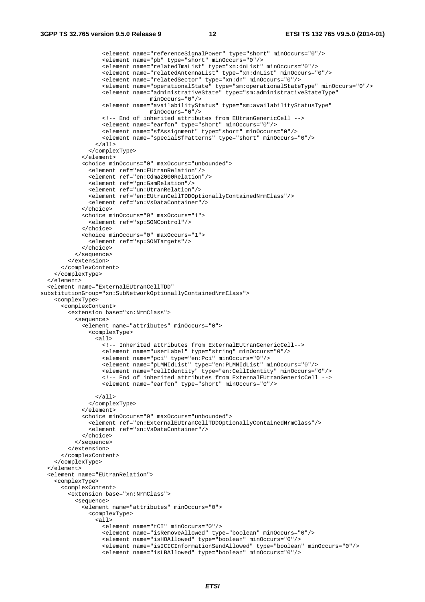```
 <element name="referenceSignalPower" type="short" minOccurs="0"/> 
 <element name="pb" type="short" minOccurs="0"/> 
 <element name="relatedTmaList" type="xn:dnList" minOccurs="0"/> 
                   <element name="relatedAntennaList" type="xn:dnList" minOccurs="0"/> 
                   <element name="relatedSector" type="xn:dn" minOccurs="0"/> 
                    <element name="operationalState" type="sm:operationalStateType" minOccurs="0"/> 
                   <element name="administrativeState" type="sm:administrativeStateType" 
                                 minOccurs="0"/> 
                   <element name="availabilityStatus" type="sm:availabilityStatusType" 
                                  minOccurs="0"/> 
                   <!-- End of inherited attributes from EUtranGenericCell --> 
 <element name="earfcn" type="short" minOccurs="0"/> 
 <element name="sfAssignment" type="short" minOccurs="0"/> 
                   <element name="specialSfPatterns" type="short" minOccurs="0"/> 
                 </all> 
               </complexType> 
             </element> 
             <choice minOccurs="0" maxOccurs="unbounded"> 
               <element ref="en:EUtranRelation"/> 
               <element ref="en:Cdma2000Relation"/> 
               <element ref="gn:GsmRelation"/> 
               <element ref="un:UtranRelation"/> 
               <element ref="en:EUtranCellTDDOptionallyContainedNrmClass"/> 
               <element ref="xn:VsDataContainer"/> 
             </choice> 
             <choice minOccurs="0" maxOccurs="1"> 
               <element ref="sp:SONControl"/> 
              </choice> 
             <choice minOccurs="0" maxOccurs="1"> 
               <element ref="sp:SONTargets"/> 
             </choice> 
           </sequence> 
         </extension> 
       </complexContent> 
     </complexType> 
   </element> 
   <element name="ExternalEUtranCellTDD" 
substitutionGroup="xn:SubNetworkOptionallyContainedNrmClass"> 
     <complexType> 
       <complexContent> 
         <extension base="xn:NrmClass"> 
           <sequence> 
             <element name="attributes" minOccurs="0"> 
               <complexType> 
                \alpha<sup>11></sup>
                   <!-- Inherited attributes from ExternalEUtranGenericCell--> 
                   <element name="userLabel" type="string" minOccurs="0"/> 
                   <element name="pci" type="en:Pci" minOccurs="0"/> 
                   <element name="pLMNIdList" type="en:PLMNIdList" minOccurs="0"/> 
                   <element name="cellIdentity" type="en:CellIdentity" minOccurs="0"/> 
                   <!-- End of inherited attributes from ExternalEUtranGenericCell --> 
                   <element name="earfcn" type="short" minOccurs="0"/> 
                \langleall\rangle </complexType> 
             </element> 
             <choice minOccurs="0" maxOccurs="unbounded"> 
               <element ref="en:ExternalEUtranCellTDDOptionallyContainedNrmClass"/> 
               <element ref="xn:VsDataContainer"/> 
             </choice> 
           </sequence> 
         </extension> 
       </complexContent> 
     </complexType> 
   </element> 
   <element name="EUtranRelation"> 
     <complexType> 
       <complexContent> 
         <extension base="xn:NrmClass"> 
           <sequence> 
             <element name="attributes" minOccurs="0"> 
               <complexType> 
                 <all> 
                   <element name="tCI" minOccurs="0"/> 
                   <element name="isRemoveAllowed" type="boolean" minOccurs="0"/> 
                   <element name="isHOAllowed" type="boolean" minOccurs="0"/> 
                   <element name="isICICInformationSendAllowed" type="boolean" minOccurs="0"/> 
                   <element name="isLBAllowed" type="boolean" minOccurs="0"/>
```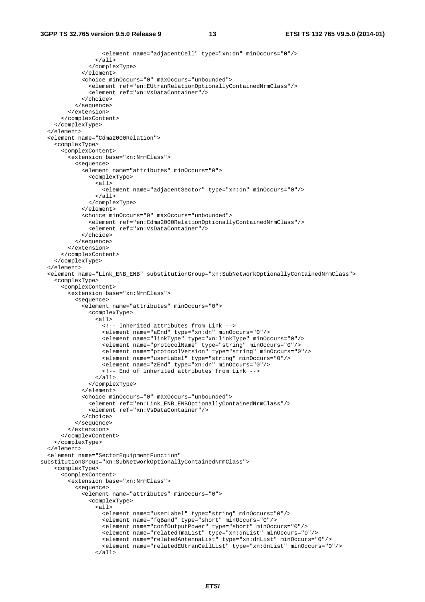```
 <element name="adjacentCell" type="xn:dn" minOccurs="0"/> 
                  </all> 
                </complexType> 
              </element> 
              <choice minOccurs="0" maxOccurs="unbounded"> 
                <element ref="en:EUtranRelationOptionallyContainedNrmClass"/> 
                <element ref="xn:VsDataContainer"/> 
             </choice> 
           </sequence> 
         </extension> 
       </complexContent> 
     </complexType> 
  \epsilon/element>
   <element name="Cdma2000Relation"> 
     <complexType> 
       <complexContent> 
         <extension base="xn:NrmClass"> 
           <sequence> 
              <element name="attributes" minOccurs="0"> 
                <complexType> 
                  <all> 
                    <element name="adjacentSector" type="xn:dn" minOccurs="0"/> 
                  </all> 
                </complexType> 
              </element> 
              <choice minOccurs="0" maxOccurs="unbounded"> 
                <element ref="en:Cdma2000RelationOptionallyContainedNrmClass"/> 
                <element ref="xn:VsDataContainer"/> 
              </choice> 
           </sequence> 
         </extension> 
       </complexContent> 
     </complexType> 
   </element> 
   <element name="Link_ENB_ENB" substitutionGroup="xn:SubNetworkOptionallyContainedNrmClass"> 
     <complexType> 
       <complexContent> 
         <extension base="xn:NrmClass"> 
           <sequence> 
              <element name="attributes" minOccurs="0"> 
                <complexType> 
                 \overline{\text{call}} <!-- Inherited attributes from Link --> 
                    <element name="aEnd" type="xn:dn" minOccurs="0"/> 
                    <element name="linkType" type="xn:linkType" minOccurs="0"/> 
                    <element name="protocolName" type="string" minOccurs="0"/> 
                    <element name="protocolVersion" type="string" minOccurs="0"/> 
                    <element name="userLabel" type="string" minOccurs="0"/> 
                    <element name="zEnd" type="xn:dn" minOccurs="0"/> 
                    <!-- End of inherited attributes from Link --> 
                  </all> 
                </complexType> 
              </element> 
              <choice minOccurs="0" maxOccurs="unbounded"> 
                <element ref="en:Link_ENB_ENBOptionallyContainedNrmClass"/> 
                <element ref="xn:VsDataContainer"/> 
             </choice> 
           </sequence> 
         </extension> 
       </complexContent> 
     </complexType> 
   </element> 
   <element name="SectorEquipmentFunction" 
substitutionGroup="xn:SubNetworkOptionallyContainedNrmClass"> 
     <complexType> 
       <complexContent> 
         <extension base="xn:NrmClass"> 
           <sequence> 
              <element name="attributes" minOccurs="0"> 
                <complexType> 
                  <all> 
                    <element name="userLabel" type="string" minOccurs="0"/> 
                    <element name="fqBand" type="short" minOccurs="0"/> 
 <element name="confOutputPower" type="short" minOccurs="0"/> 
 <element name="relatedTmaList" type="xn:dnList" minOccurs="0"/> 
                    <element name="relatedAntennaList" type="xn:dnList" minOccurs="0"/> 
                    <element name="relatedEUtranCellList" type="xn:dnList" minOccurs="0"/> 
                 \langleall\rangle
```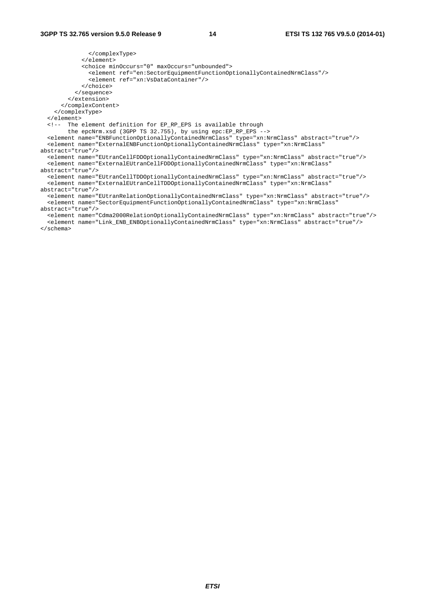</complexType> </element> <choice minOccurs="0" maxOccurs="unbounded"> <element ref="en:SectorEquipmentFunctionOptionallyContainedNrmClass"/> <element ref="xn:VsDataContainer"/> </choice> </sequence> </extension> </complexContent> </complexType> </element> <!-- The element definition for EP\_RP\_EPS is available through the epcNrm.xsd (3GPP TS 32.755), by using epc:EP\_RP\_EPS --> <element name="ENBFunctionOptionallyContainedNrmClass" type="xn:NrmClass" abstract="true"/> <element name="ExternalENBFunctionOptionallyContainedNrmClass" type="xn:NrmClass" abstract="true"/> <element name="EUtranCellFDDOptionallyContainedNrmClass" type="xn:NrmClass" abstract="true"/> <element name="ExternalEUtranCellFDDOptionallyContainedNrmClass" type="xn:NrmClass" abstract="true"/> <element name="EUtranCellTDDOptionallyContainedNrmClass" type="xn:NrmClass" abstract="true"/> <element name="ExternalEUtranCellTDDOptionallyContainedNrmClass" type="xn:NrmClass" abstract="true"/> <element name="EUtranRelationOptionallyContainedNrmClass" type="xn:NrmClass" abstract="true"/> <element name="SectorEquipmentFunctionOptionallyContainedNrmClass" type="xn:NrmClass" abstract="true"/>

 <element name="Cdma2000RelationOptionallyContainedNrmClass" type="xn:NrmClass" abstract="true"/> <element name="Link\_ENB\_ENBOptionallyContainedNrmClass" type="xn:NrmClass" abstract="true"/> </schema>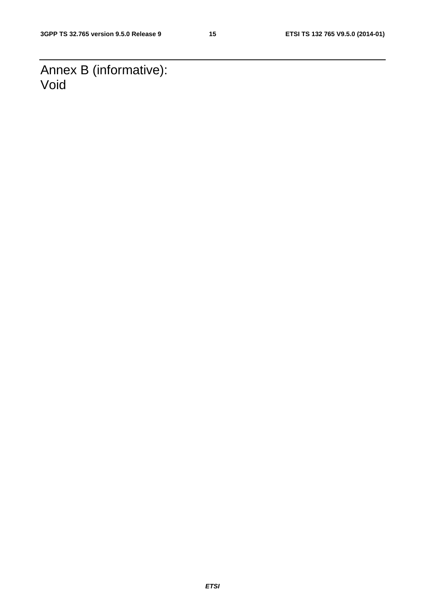Annex B (informative): Void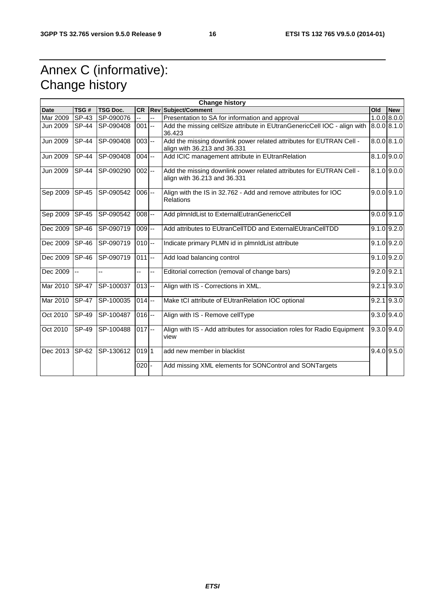### Annex C (informative): Change history

|             |              |                  |                      |    | <b>Change history</b>                                                                               |     |                 |
|-------------|--------------|------------------|----------------------|----|-----------------------------------------------------------------------------------------------------|-----|-----------------|
| <b>Date</b> | TSG#         | <b>TSG Doc.</b>  | <b>CR</b>            |    | <b>Rev Subject/Comment</b>                                                                          | Old | <b>New</b>      |
| Mar 2009    | $SP-43$      | SP-090076        |                      | ц, | Presentation to SA for information and approval                                                     |     | $1.0.0$ 8.0.0   |
| Jun 2009    | <b>SP-44</b> | SP-090408        | $001$ --             |    | Add the missing cellSize attribute in EUtranGenericCell IOC - align with<br>36.423                  |     | 8.0.0   8.1.0   |
| Jun 2009    | <b>SP-44</b> | SP-090408        | $003 -$              |    | Add the missing downlink power related attributes for EUTRAN Cell -<br>align with 36.213 and 36.331 |     | 8.0.0   8.1.0   |
| Jun 2009    | <b>SP-44</b> | SP-090408        | $004 -$              |    | Add ICIC management attribute in EUtranRelation                                                     |     | 8.1.0   9.0.0   |
| Jun 2009    | $SP-44$      | <b>SP-090290</b> | $002$ --             |    | Add the missing downlink power related attributes for EUTRAN Cell -<br>align with 36.213 and 36.331 |     | $8.1.0$ 9.0.0   |
| Sep 2009    | <b>SP-45</b> | SP-090542        | $006 -$              |    | Align with the IS in 32.762 - Add and remove attributes for IOC<br><b>Relations</b>                 |     | $9.0.0$ $9.1.0$ |
| Sep 2009    | <b>SP-45</b> | SP-090542        | $008 -$              |    | Add plmnldList to ExternalEutranGenericCell                                                         |     | $9.0.0$ $9.1.0$ |
| Dec 2009    | <b>SP-46</b> | SP-090719        | $009 -$              |    | Add attributes to EUtranCellTDD and ExternalEUtranCellTDD                                           |     | $9.1.0$ $9.2.0$ |
| Dec 2009    | $ SP-46 $    | SP-090719        | $010 -$              |    | Indicate primary PLMN id in plmnldList attribute                                                    |     | $9.1.0$ $9.2.0$ |
| Dec 2009    | <b>SP-46</b> | SP-090719        | $\overline{0}11$ --  |    | Add load balancing control                                                                          |     | $9.1.0$ $9.2.0$ |
| Dec 2009    | $\vert$ --   | u.               | -−                   | Ξ. | Editorial correction (removal of change bars)                                                       |     | $9.2.0$ $9.2.1$ |
| Mar 2010    | <b>SP-47</b> | SP-100037        | $\overline{0}$ 13 -- |    | Align with IS - Corrections in XML.                                                                 |     | $9.2.1$ $9.3.0$ |
| Mar 2010    | <b>SP-47</b> | SP-100035        | $014$ --             |    | Make tCl attribute of EUtranRelation IOC optional                                                   |     | $9.2.1$ $9.3.0$ |
| Oct 2010    | SP-49        | SP-100487        | $016$ --             |    | Align with IS - Remove cellType                                                                     |     | $9.3.0$ $9.4.0$ |
| Oct 2010    | $SP-49$      | SP-100488        | $017$ --             |    | Align with IS - Add attributes for association roles for Radio Equipment<br>view                    |     | $9.3.0$ 9.4.0   |
| Dec 2013    | <b>SP-62</b> | SP-130612        | 01911                |    | add new member in blacklist                                                                         |     | $9.4.0$ $9.5.0$ |
|             |              |                  | $020 -$              |    | Add missing XML elements for SONControl and SONTargets                                              |     |                 |